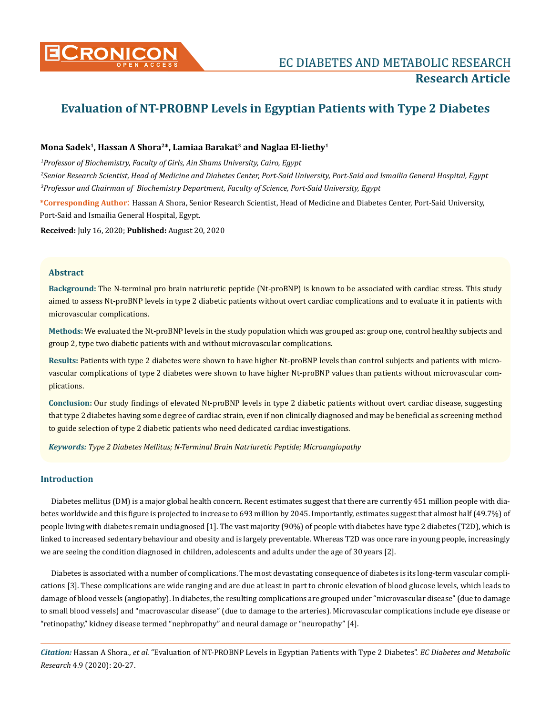

# **Evaluation of NT-PROBNP Levels in Egyptian Patients with Type 2 Diabetes**

# **Mona Sadek1, Hassan A Shora2\*, Lamiaa Barakat3 and Naglaa El-liethy1**

*1 Professor of Biochemistry, Faculty of Girls, Ain Shams University, Cairo, Egypt*

*2 Senior Research Scientist, Head of Medicine and Diabetes Center, Port-Said University, Port-Said and Ismailia General Hospital, Egypt 3 Professor and Chairman of Biochemistry Department, Faculty of Science, Port-Said University, Egypt*

**\*Corresponding Author**: Hassan A Shora, Senior Research Scientist, Head of Medicine and Diabetes Center, Port-Said University, Port-Said and Ismailia General Hospital, Egypt.

**Received:** July 16, 2020; **Published:** August 20, 2020

## **Abstract**

**Background:** The N-terminal pro brain natriuretic peptide (Nt-proBNP) is known to be associated with cardiac stress. This study aimed to assess Nt-proBNP levels in type 2 diabetic patients without overt cardiac complications and to evaluate it in patients with microvascular complications.

**Methods:** We evaluated the Nt-proBNP levels in the study population which was grouped as: group one, control healthy subjects and group 2, type two diabetic patients with and without microvascular complications.

**Results:** Patients with type 2 diabetes were shown to have higher Nt-proBNP levels than control subjects and patients with microvascular complications of type 2 diabetes were shown to have higher Nt-proBNP values than patients without microvascular complications.

**Conclusion:** Our study findings of elevated Nt-proBNP levels in type 2 diabetic patients without overt cardiac disease, suggesting that type 2 diabetes having some degree of cardiac strain, even if non clinically diagnosed and may be beneficial as screening method to guide selection of type 2 diabetic patients who need dedicated cardiac investigations.

*Keywords: Type 2 Diabetes Mellitus; N-Terminal Brain Natriuretic Peptide; Microangiopathy*

# **Introduction**

Diabetes mellitus (DM) is a major global health concern. Recent estimates suggest that there are currently 451 million people with diabetes worldwide and this figure is projected to increase to 693 million by 2045. Importantly, estimates suggest that almost half (49.7%) of people living with diabetes remain undiagnosed [1]. The vast majority (90%) of people with diabetes have type 2 diabetes (T2D), which is linked to increased sedentary behaviour and obesity and is largely preventable. Whereas T2D was once rare in young people, increasingly we are seeing the condition diagnosed in children, adolescents and adults under the age of 30 years [2].

Diabetes is associated with a number of complications. The most devastating consequence of diabetes is its long-term vascular complications [3]. These complications are wide ranging and are due at least in part to chronic elevation of blood glucose levels, which leads to damage of blood vessels (angiopathy). In diabetes, the resulting complications are grouped under "microvascular disease" (due to damage to small blood vessels) and "macrovascular disease" (due to damage to the arteries). Microvascular complications include eye disease or "retinopathy," kidney disease termed "nephropathy" and neural damage or "neuropathy" [4].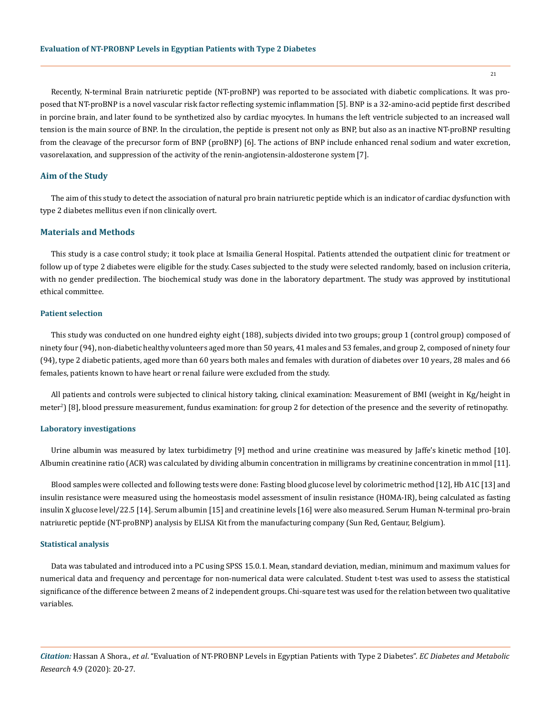Recently, N-terminal Brain natriuretic peptide (NT-proBNP) was reported to be associated with diabetic complications. It was proposed that NT-proBNP is a novel vascular risk factor reflecting systemic inflammation [5]. BNP is a 32-amino-acid peptide first described in porcine brain, and later found to be synthetized also by cardiac myocytes. In humans the left ventricle subjected to an increased wall tension is the main source of BNP. In the circulation, the peptide is present not only as BNP, but also as an inactive NT-proBNP resulting from the cleavage of the precursor form of BNP (proBNP) [6]. The actions of BNP include enhanced renal sodium and water excretion, vasorelaxation, and suppression of the activity of the renin-angiotensin-aldosterone system [7].

## **Aim of the Study**

The aim of this study to detect the association of natural pro brain natriuretic peptide which is an indicator of cardiac dysfunction with type 2 diabetes mellitus even if non clinically overt.

# **Materials and Methods**

This study is a case control study; it took place at Ismailia General Hospital. Patients attended the outpatient clinic for treatment or follow up of type 2 diabetes were eligible for the study. Cases subjected to the study were selected randomly, based on inclusion criteria, with no gender predilection. The biochemical study was done in the laboratory department. The study was approved by institutional ethical committee.

#### **Patient selection**

This study was conducted on one hundred eighty eight (188), subjects divided into two groups; group 1 (control group) composed of ninety four (94), non-diabetic healthy volunteers aged more than 50 years, 41 males and 53 females, and group 2, composed of ninety four (94), type 2 diabetic patients, aged more than 60 years both males and females with duration of diabetes over 10 years, 28 males and 66 females, patients known to have heart or renal failure were excluded from the study.

All patients and controls were subjected to clinical history taking, clinical examination: Measurement of BMI (weight in Kg/height in meter<sup>2</sup>) [8], blood pressure measurement, fundus examination: for group 2 for detection of the presence and the severity of retinopathy.

## **Laboratory investigations**

Urine albumin was measured by latex turbidimetry [9] method and urine creatinine was measured by Jaffe's kinetic method [10]. Albumin creatinine ratio (ACR) was calculated by dividing albumin concentration in milligrams by creatinine concentration in mmol [11].

Blood samples were collected and following tests were done: Fasting blood glucose level by colorimetric method [12], Hb A1C [13] and insulin resistance were measured using the homeostasis model assessment of insulin resistance (HOMA-IR), being calculated as fasting insulin X glucose level/22.5 [14]. Serum albumin [15] and creatinine levels [16] were also measured. Serum Human N-terminal pro-brain natriuretic peptide (NT-proBNP) analysis by ELISA Kit from the manufacturing company (Sun Red, Gentaur, Belgium).

#### **Statistical analysis**

Data was tabulated and introduced into a PC using SPSS 15.0.1. Mean, standard deviation, median, minimum and maximum values for numerical data and frequency and percentage for non-numerical data were calculated. Student t-test was used to assess the statistical significance of the difference between 2 means of 2 independent groups. Chi-square test was used for the relation between two qualitative variables.

*Citation:* Hassan A Shora., *et al*. "Evaluation of NT-PROBNP Levels in Egyptian Patients with Type 2 Diabetes". *EC Diabetes and Metabolic Research* 4.9 (2020): 20-27.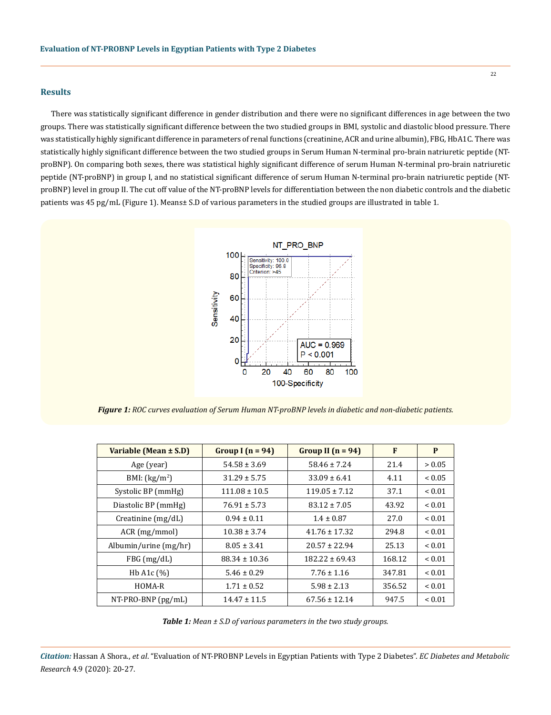## **Results**

There was statistically significant difference in gender distribution and there were no significant differences in age between the two groups. There was statistically significant difference between the two studied groups in BMI, systolic and diastolic blood pressure. There was statistically highly significant difference in parameters of renal functions (creatinine, ACR and urine albumin), FBG, HbA1C. There was statistically highly significant difference between the two studied groups in Serum Human N-terminal pro-brain natriuretic peptide (NTproBNP). On comparing both sexes, there was statistical highly significant difference of serum Human N-terminal pro-brain natriuretic peptide (NT-proBNP) in group I, and no statistical significant difference of serum Human N-terminal pro-brain natriuretic peptide (NTproBNP) level in group II. The cut off value of the NT-proBNP levels for differentiation between the non diabetic controls and the diabetic patients was 45 pg/mL (Figure 1). Means± S.D of various parameters in the studied groups are illustrated in table 1.



*Figure 1: ROC curves evaluation of Serum Human NT-proBNP levels in diabetic and non-diabetic patients.*

| Variable (Mean ± S.D)      | Group I $(n = 94)$ | Group II $(n = 94)$ | F      | P             |
|----------------------------|--------------------|---------------------|--------|---------------|
| Age (year)                 | $54.58 \pm 3.69$   | $58.46 \pm 7.24$    | 21.4   | > 0.05        |
| BMI: $(kg/m2)$             | $31.29 \pm 5.75$   | $33.09 \pm 6.41$    | 4.11   | ${}_{< 0.05}$ |
| Systolic BP (mmHg)         | $111.08 \pm 10.5$  | $119.05 \pm 7.12$   | 37.1   | ${}_{0.01}$   |
| Diastolic BP (mmHg)        | $76.91 \pm 5.73$   | $83.12 \pm 7.05$    | 43.92  | ${}_{0.01}$   |
| Creatinine $(mg/dL)$       | $0.94 \pm 0.11$    | $1.4 \pm 0.87$      | 27.0   | ${}_{0.01}$   |
| ACR (mg/mmol)              | $10.38 \pm 3.74$   | $41.76 \pm 17.32$   | 294.8  | ~< 0.01       |
| Albumin/urine $(mg/hr)$    | $8.05 \pm 3.41$    | $20.57 \pm 22.94$   | 25.13  | ~< 0.01       |
| FBG (mg/dL)                | $88.34 \pm 10.36$  | $182.22 \pm 69.43$  | 168.12 | ~< 0.01       |
| Hb A <sub>1</sub> c $(\%)$ | $5.46 \pm 0.29$    | $7.76 \pm 1.16$     | 347.81 | ${}_{0.01}$   |
| HOMA-R                     | $1.71 \pm 0.52$    | $5.98 \pm 2.13$     | 356.52 | < 0.01        |
| NT-PRO-BNP (pg/mL)         | $14.47 \pm 11.5$   | $67.56 \pm 12.14$   | 947.5  | ${}_{< 0.01}$ |

*Table 1: Mean ± S.D of various parameters in the two study groups.*

*Citation:* Hassan A Shora., *et al*. "Evaluation of NT-PROBNP Levels in Egyptian Patients with Type 2 Diabetes". *EC Diabetes and Metabolic Research* 4.9 (2020): 20-27.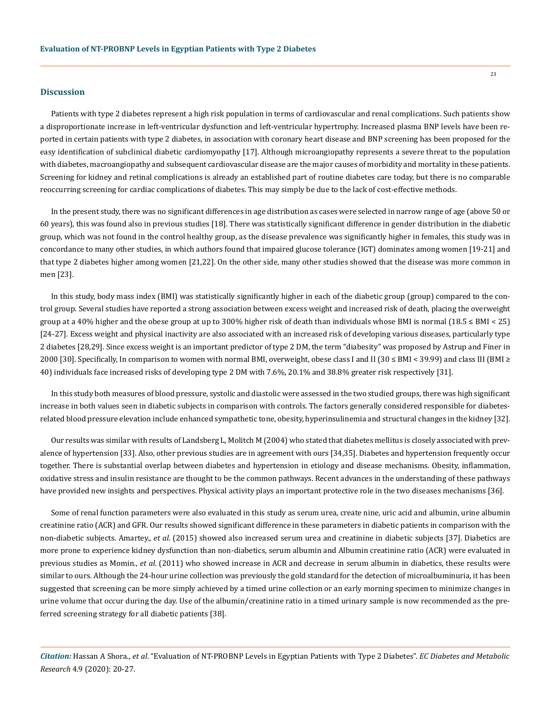#### **Discussion**

Patients with type 2 diabetes represent a high risk population in terms of cardiovascular and renal complications. Such patients show a disproportionate increase in left-ventricular dysfunction and left-ventricular hypertrophy. Increased plasma BNP levels have been reported in certain patients with type 2 diabetes, in association with coronary heart disease and BNP screening has been proposed for the easy identification of subclinical diabetic cardiomyopathy [17]. Although microangiopathy represents a severe threat to the population with diabetes, macroangiopathy and subsequent cardiovascular disease are the major causes of morbidity and mortality in these patients. Screening for kidney and retinal complications is already an established part of routine diabetes care today, but there is no comparable reoccurring screening for cardiac complications of diabetes. This may simply be due to the lack of cost-effective methods.

In the present study, there was no significant differences in age distribution as cases were selected in narrow range of age (above 50 or 60 years), this was found also in previous studies [18]. There was statistically significant difference in gender distribution in the diabetic group, which was not found in the control healthy group, as the disease prevalence was significantly higher in females, this study was in concordance to many other studies, in which authors found that impaired glucose tolerance (IGT) dominates among women [19-21] and that type 2 diabetes higher among women [21,22]. On the other side, many other studies showed that the disease was more common in men [23].

In this study, body mass index (BMI) was statistically significantly higher in each of the diabetic group (group) compared to the control group. Several studies have reported a strong association between excess weight and increased risk of death, placing the overweight group at a 40% higher and the obese group at up to 300% higher risk of death than individuals whose BMI is normal  $(18.5 \leq BMI < 25)$ [24-27]. Excess weight and physical inactivity are also associated with an increased risk of developing various diseases, particularly type 2 diabetes [28,29]. Since excess weight is an important predictor of type 2 DM, the term "diabesity" was proposed by Astrup and Finer in 2000 [30]. Specifically, In comparison to women with normal BMI, overweight, obese class I and II (30 ≤ BMI < 39.99) and class III (BMI ≥ 40) individuals face increased risks of developing type 2 DM with 7.6%, 20.1% and 38.8% greater risk respectively [31].

In this study both measures of blood pressure, systolic and diastolic were assessed in the two studied groups, there was high significant increase in both values seen in diabetic subjects in comparison with controls. The factors generally considered responsible for diabetesrelated blood pressure elevation include enhanced sympathetic tone, obesity, hyperinsulinemia and structural changes in the kidney [32].

Our results was similar with results of Landsberg L, Molitch M (2004) who stated that diabetes mellitus is closely associated with prevalence of hypertension [33]. Also, other previous studies are in agreement with ours [34,35]. Diabetes and hypertension frequently occur together. There is substantial overlap between diabetes and hypertension in etiology and disease mechanisms. Obesity, inflammation, oxidative stress and insulin resistance are thought to be the common pathways. Recent advances in the understanding of these pathways have provided new insights and perspectives. Physical activity plays an important protective role in the two diseases mechanisms [36].

Some of renal function parameters were also evaluated in this study as serum urea, create nine, uric acid and albumin, urine albumin creatinine ratio (ACR) and GFR. Our results showed significant difference in these parameters in diabetic patients in comparison with the non-diabetic subjects. Amartey., *et al*. (2015) showed also increased serum urea and creatinine in diabetic subjects [37]. Diabetics are more prone to experience kidney dysfunction than non-diabetics, serum albumin and Albumin creatinine ratio (ACR) were evaluated in previous studies as Momin., *et al*. (2011) who showed increase in ACR and decrease in serum albumin in diabetics, these results were similar to ours. Although the 24-hour urine collection was previously the gold standard for the detection of microalbuminuria, it has been suggested that screening can be more simply achieved by a timed urine collection or an early morning specimen to minimize changes in urine volume that occur during the day. Use of the albumin/creatinine ratio in a timed urinary sample is now recommended as the preferred screening strategy for all diabetic patients [38].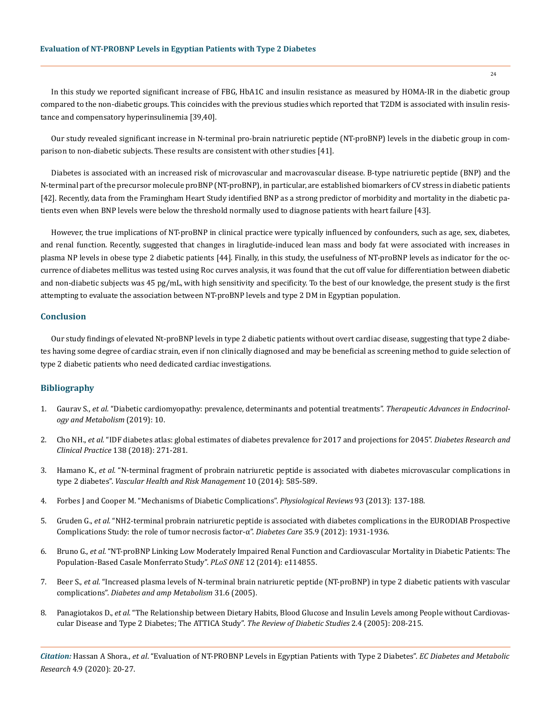In this study we reported significant increase of FBG, HbA1C and insulin resistance as measured by HOMA-IR in the diabetic group compared to the non-diabetic groups. This coincides with the previous studies which reported that T2DM is associated with insulin resistance and compensatory hyperinsulinemia [39,40].

Our study revealed significant increase in N-terminal pro-brain natriuretic peptide (NT-proBNP) levels in the diabetic group in comparison to non-diabetic subjects. These results are consistent with other studies [41].

Diabetes is associated with an increased risk of microvascular and macrovascular disease. B-type natriuretic peptide (BNP) and the N-terminal part of the precursor molecule proBNP (NT-proBNP), in particular, are established biomarkers of CV stress in diabetic patients [42]. Recently, data from the Framingham Heart Study identified BNP as a strong predictor of morbidity and mortality in the diabetic patients even when BNP levels were below the threshold normally used to diagnose patients with heart failure [43].

However, the true implications of NT-proBNP in clinical practice were typically influenced by confounders, such as age, sex, diabetes, and renal function. Recently, suggested that changes in liraglutide-induced lean mass and body fat were associated with increases in plasma NP levels in obese type 2 diabetic patients [44]. Finally, in this study, the usefulness of NT-proBNP levels as indicator for the occurrence of diabetes mellitus was tested using Roc curves analysis, it was found that the cut off value for differentiation between diabetic and non-diabetic subjects was 45 pg/mL, with high sensitivity and specificity. To the best of our knowledge, the present study is the first attempting to evaluate the association between NT-proBNP levels and type 2 DM in Egyptian population.

#### **Conclusion**

Our study findings of elevated Nt-proBNP levels in type 2 diabetic patients without overt cardiac disease, suggesting that type 2 diabetes having some degree of cardiac strain, even if non clinically diagnosed and may be beneficial as screening method to guide selection of type 2 diabetic patients who need dedicated cardiac investigations.

## **Bibliography**

- 1. Gaurav S., *et al.* ["Diabetic cardiomyopathy: prevalence, determinants and potential treatments".](https://pubmed.ncbi.nlm.nih.gov/30944723/) *Therapeutic Advances in Endocrinol[ogy and Metabolism](https://pubmed.ncbi.nlm.nih.gov/30944723/)* (2019): 10.
- 2. Cho NH., *et al.* ["IDF diabetes atlas: global estimates of diabetes prevalence for 2017 and projections for 2045".](https://pubmed.ncbi.nlm.nih.gov/29496507/) *Diabetes Research and Clinical Practice* [138 \(2018\): 271-281.](https://pubmed.ncbi.nlm.nih.gov/29496507/)
- 3. Hamano K., *et al.* ["N-terminal fragment of probrain natriuretic peptide is associated with diabetes microvascular complications in](https://www.ncbi.nlm.nih.gov/pmc/articles/PMC4199566/) type 2 diabetes". *[Vascular Health and Risk Management](https://www.ncbi.nlm.nih.gov/pmc/articles/PMC4199566/)* 10 (2014): 585-589.
- 4. [Forbes J and Cooper M. "Mechanisms of Diabetic Complications".](https://pubmed.ncbi.nlm.nih.gov/23303908/) *Physiological Reviews* 93 (2013): 137-188.
- 5. Gruden G., *et al.* ["NH2-terminal probrain natriuretic peptide is associated with diabetes complications in the EURODIAB Prospective](https://care.diabetesjournals.org/content/35/9/1931)  [Complications Study: the role of tumor necrosis factor-α".](https://care.diabetesjournals.org/content/35/9/1931) *Diabetes Care* 35.9 (2012): 1931-1936.
- 6. Bruno G., *et al.* ["NT-proBNP Linking Low Moderately Impaired Renal Function and Cardiovascular Mortality in Diabetic Patients: The](https://www.ncbi.nlm.nih.gov/pmc/articles/PMC4263725/)  [Population-Based Casale Monferrato Study".](https://www.ncbi.nlm.nih.gov/pmc/articles/PMC4263725/) *PLoS ONE* 12 (2014): e114855.
- 7. Beer S., *et al.* ["Increased plasma levels of N-terminal brain natriuretic peptide \(NT-proBNP\) in type 2 diabetic patients with vascular](https://pubmed.ncbi.nlm.nih.gov/16357805/)  complications". *[Diabetes and amp Metabolism](https://pubmed.ncbi.nlm.nih.gov/16357805/)* 31.6 (2005).
- 8. Panagiotakos D., *et al.* ["The Relationship between Dietary Habits, Blood Glucose and Insulin Levels among People without Cardiovas](https://www.ncbi.nlm.nih.gov/pmc/articles/PMC1783563/)[cular Disease and Type 2 Diabetes; The ATTICA Study".](https://www.ncbi.nlm.nih.gov/pmc/articles/PMC1783563/) *The Review of Diabetic Studies* 2.4 (2005): 208-215.

*Citation:* Hassan A Shora., *et al*. "Evaluation of NT-PROBNP Levels in Egyptian Patients with Type 2 Diabetes". *EC Diabetes and Metabolic Research* 4.9 (2020): 20-27.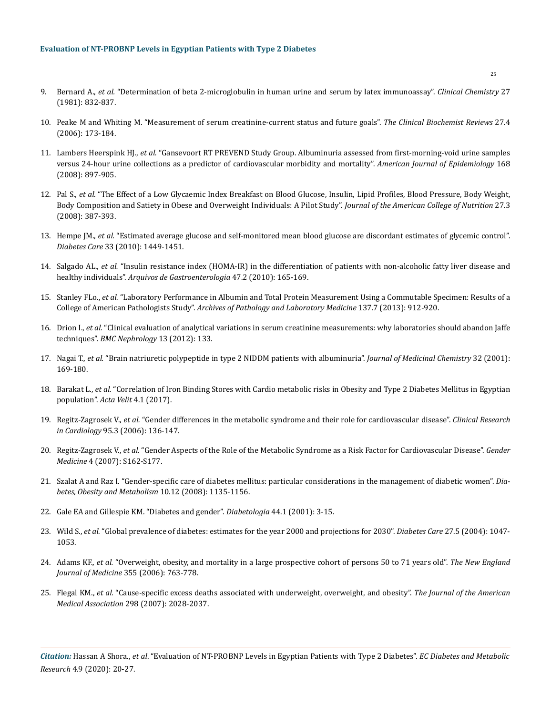- 9. Bernard A., *et al.* ["Determination of beta 2-microglobulin in human urine and serum by latex immunoassay".](https://pubmed.ncbi.nlm.nih.gov/6165500/) *Clinical Chemistry* 27 [\(1981\): 832-837.](https://pubmed.ncbi.nlm.nih.gov/6165500/)
- 10. [Peake M and Whiting M. "Measurement of serum creatinine-current status and future goals".](https://www.ncbi.nlm.nih.gov/pmc/articles/PMC1784008/) *The Clinical Biochemist Reviews* 27.4 [\(2006\): 173-184.](https://www.ncbi.nlm.nih.gov/pmc/articles/PMC1784008/)
- 11. Lambers Heerspink HJ., *et al.* ["Gansevoort RT PREVEND Study Group. Albuminuria assessed from first-morning-void urine samples](https://pubmed.ncbi.nlm.nih.gov/18775924/) [versus 24-hour urine collections as a predictor of cardiovascular morbidity and mortality".](https://pubmed.ncbi.nlm.nih.gov/18775924/) *American Journal of Epidemiology* 168 [\(2008\): 897-905.](https://pubmed.ncbi.nlm.nih.gov/18775924/)
- 12. Pal S., *et al.* ["The Effect of a Low Glycaemic Index Breakfast on Blood Glucose, Insulin, Lipid Profiles, Blood Pressure, Body Weight,](https://pubmed.ncbi.nlm.nih.gov/18838526/)  [Body Composition and Satiety in Obese and Overweight Individuals: A Pilot Study".](https://pubmed.ncbi.nlm.nih.gov/18838526/) *Journal of the American College of Nutrition* 27.3 [\(2008\): 387-393.](https://pubmed.ncbi.nlm.nih.gov/18838526/)
- 13. Hempe JM., *et al.* ["Estimated average glucose and self-monitored mean blood glucose are discordant estimates of glycemic control".](https://pubmed.ncbi.nlm.nih.gov/20357368/) *Diabetes Care* [33 \(2010\): 1449-1451.](https://pubmed.ncbi.nlm.nih.gov/20357368/)
- 14. Salgado AL., *et al.* ["Insulin resistance index \(HOMA-IR\) in the differentiation of patients with non-alcoholic fatty liver disease and](https://pubmed.ncbi.nlm.nih.gov/20721461/)  healthy individuals". *[Arquivos de Gastroenterologia](https://pubmed.ncbi.nlm.nih.gov/20721461/)* 47.2 (2010): 165-169.
- 15. Stanley FLo., *et al.* ["Laboratory Performance in Albumin and Total Protein Measurement Using a Commutable Specimen: Results of a](https://meridian.allenpress.com/aplm/article/137/7/912/128696/Laboratory-Performance-in-Albumin-and-Total) College of American Pathologists Study". *[Archives of Pathology and Laboratory Medicine](https://meridian.allenpress.com/aplm/article/137/7/912/128696/Laboratory-Performance-in-Albumin-and-Total)* 137.7 (2013): 912-920.
- 16. Drion I., *et al.* ["Clinical evaluation of analytical variations in serum creatinine measurements: why laboratories should abandon Jaffe](https://bmcnephrol.biomedcentral.com/articles/10.1186/1471-2369-13-133)  techniques". *[BMC Nephrology](https://bmcnephrol.biomedcentral.com/articles/10.1186/1471-2369-13-133)* 13 (2012): 133.
- 17. Nagai T., *et al.* ["Brain natriuretic polypeptide in type 2 NIDDM patients with albuminuria".](https://pubmed.ncbi.nlm.nih.gov/11563815/) *Journal of Medicinal Chemistry* 32 (2001): [169-180.](https://pubmed.ncbi.nlm.nih.gov/11563815/)
- 18. Barakat L., *et al.* ["Correlation of Iron Binding Stores with Cardio metabolic risks in Obesity and Type 2 Diabetes Mellitus in Egyptian](https://www.researchgate.net/publication/337063325_Correlation_of_Iron_Binding_Stores_with_Cardio_metabolic_risks_in_Obesity_and_Type_2_Diabetes_Mellitus_in_Egyptian_population)  [population".](https://www.researchgate.net/publication/337063325_Correlation_of_Iron_Binding_Stores_with_Cardio_metabolic_risks_in_Obesity_and_Type_2_Diabetes_Mellitus_in_Egyptian_population) *Acta Velit* 4.1 (2017).
- 19. Regitz-Zagrosek V., *et al.* ["Gender differences in the metabolic syndrome and their role for cardiovascular disease".](https://pubmed.ncbi.nlm.nih.gov/16598526/) *Clinical Research in Cardiology* [95.3 \(2006\): 136-147.](https://pubmed.ncbi.nlm.nih.gov/16598526/)
- 20. Regitz-Zagrosek V., *et al.* ["Gender Aspects of the Role of the Metabolic Syndrome as a Risk Factor for Cardiovascular Disease".](https://www.researchgate.net/publication/5693326_Gender_Aspects_of_the_Role_of_the_Metabolic_Syndrome_as_a_Risk_Factor_for_Cardiovascular_Disease) *Gender Medicine* [4 \(2007\): S162-S177.](https://www.researchgate.net/publication/5693326_Gender_Aspects_of_the_Role_of_the_Metabolic_Syndrome_as_a_Risk_Factor_for_Cardiovascular_Disease)
- 21. [Szalat A and Raz I. "Gender-specific care of diabetes mellitus: particular considerations in the management of diabetic women".](https://pubmed.ncbi.nlm.nih.gov/18494812/) *Dia[betes, Obesity and Metabolism](https://pubmed.ncbi.nlm.nih.gov/18494812/)* 10.12 (2008): 1135-1156.
- 22. [Gale EA and Gillespie KM. "Diabetes and gender".](https://pubmed.ncbi.nlm.nih.gov/11206408/) *Diabetologia* 44.1 (2001): 3-15.
- 23. Wild S., *et al.* ["Global prevalence of diabetes: estimates for the year 2000 and projections for 2030".](https://pubmed.ncbi.nlm.nih.gov/15111519/) *Diabetes Care* 27.5 (2004): 1047- [1053.](https://pubmed.ncbi.nlm.nih.gov/15111519/)
- 24. Adams KF., *et al.* ["Overweight, obesity, and mortality in a large prospective cohort of persons 50 to 71 years old".](https://pubmed.ncbi.nlm.nih.gov/16926275/) *The New England [Journal of Medicine](https://pubmed.ncbi.nlm.nih.gov/16926275/)* 355 (2006): 763-778.
- 25. Flegal KM., *et al.* ["Cause-specific excess deaths associated with underweight, overweight, and obesity".](https://pubmed.ncbi.nlm.nih.gov/17986696/) *The Journal of the American Medical Association* [298 \(2007\): 2028-2037.](https://pubmed.ncbi.nlm.nih.gov/17986696/)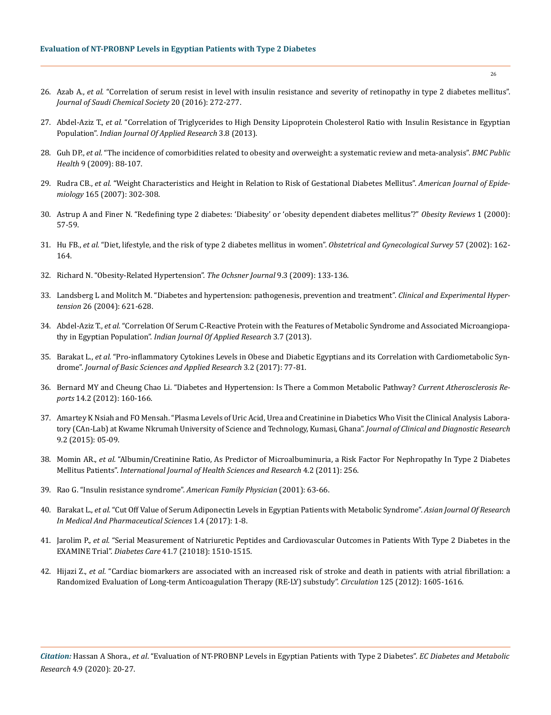- 26. Azab A., *et al.* ["Correlation of serum resist in level with insulin resistance and severity of retinopathy in type 2 diabetes mellitus".](https://www.sciencedirect.com/science/article/pii/S1319610312000907)  *[Journal of Saudi Chemical Society](https://www.sciencedirect.com/science/article/pii/S1319610312000907)* 20 (2016): 272-277.
- 27. Abdel-Aziz T., *et al.* ["Correlation of Triglycerides to High Density Lipoprotein Cholesterol Ratio with Insulin Resistance in Egyptian](https://www.worldwidejournals.com/indian-journal-of-applied-research-(IJAR)/article/correlation-of-triglycerides-to-high-density-lipoprotein-cholesterol-ratio-with-insulin-resistance-in-egyptian-population/MTk5Ng==/?is=1&b1=37&k=10)  Population". *[Indian Journal Of Applied Research](https://www.worldwidejournals.com/indian-journal-of-applied-research-(IJAR)/article/correlation-of-triglycerides-to-high-density-lipoprotein-cholesterol-ratio-with-insulin-resistance-in-egyptian-population/MTk5Ng==/?is=1&b1=37&k=10)* 3.8 (2013).
- 28. Guh DP., *et al.* ["The incidence of comorbidities related to obesity and overweight: a systematic review and meta-analysis".](https://bmcpublichealth.biomedcentral.com/articles/10.1186/1471-2458-9-88) *BMC Public Health* [9 \(2009\): 88-107.](https://bmcpublichealth.biomedcentral.com/articles/10.1186/1471-2458-9-88)
- 29. Rudra CB., *et al.* ["Weight Characteristics and Height in Relation to Risk of Gestational Diabetes Mellitus".](https://academic.oup.com/aje/article/165/3/302/134968) *American Journal of Epidemiology* [165 \(2007\): 302-308.](https://academic.oup.com/aje/article/165/3/302/134968)
- 30. [Astrup A and Finer N. "Redefining type 2 diabetes: 'Diabesity' or 'obesity dependent diabetes mellitus'?"](https://www.researchgate.net/publication/11258865_Redefining_Type_2_diabetes_%27Diabesity%27_or_%27Obesity_Dependent_Diabetes_Mellitus%27) *Obesity Reviews* 1 (2000): [57-59.](https://www.researchgate.net/publication/11258865_Redefining_Type_2_diabetes_%27Diabesity%27_or_%27Obesity_Dependent_Diabetes_Mellitus%27)
- 31. Hu FB., *et al.* ["Diet, lifestyle, and the risk of type 2 diabetes mellitus in women".](https://pubmed.ncbi.nlm.nih.gov/11556298/) *Obstetrical and Gynecological Survey* 57 (2002): 162- [164.](https://pubmed.ncbi.nlm.nih.gov/11556298/)
- 32. [Richard N. "Obesity-Related Hypertension".](https://www.ncbi.nlm.nih.gov/pmc/articles/PMC3096270/) *The Ochsner Journal* 9.3 (2009): 133-136.
- 33. [Landsberg L and Molitch M. "Diabetes and hypertension: pathogenesis, prevention and treatment".](https://pubmed.ncbi.nlm.nih.gov/15702616/) *Clinical and Experimental Hypertension* [26 \(2004\): 621-628.](https://pubmed.ncbi.nlm.nih.gov/15702616/)
- 34. Abdel-Aziz T., *et al.* ["Correlation Of Serum C-Reactive Protein with the Features of Metabolic Syndrome and Associated Microangiopa](https://www.worldwidejournals.com/indian-journal-of-applied-research-(IJAR)/article/correlation-of-serum-candndash-reactive-protein-with-the-features-of-metabolic-syndrome-and-associated-microangiopathy-in-egyptian-population/MTc4OA==/?is=1&b1=21&k=6)thy in Egyptian Population". *[Indian Journal Of Applied Research](https://www.worldwidejournals.com/indian-journal-of-applied-research-(IJAR)/article/correlation-of-serum-candndash-reactive-protein-with-the-features-of-metabolic-syndrome-and-associated-microangiopathy-in-egyptian-population/MTc4OA==/?is=1&b1=21&k=6)* 3.7 (2013).
- 35. Barakat L., *et al.* "Pro-inflammatory Cytokines Levels in Obese and Diabetic Egyptians and its Correlation with Cardiometabolic Syndrome". *Journal of Basic Sciences and Applied Research* 3.2 (2017): 77-81.
- 36. [Bernard MY and Cheung Chao Li. "Diabetes and Hypertension: Is There a Common Metabolic Pathway?](https://www.ncbi.nlm.nih.gov/pmc/articles/PMC3314178/) *Current Atherosclerosis Reports* [14.2 \(2012\): 160-166.](https://www.ncbi.nlm.nih.gov/pmc/articles/PMC3314178/)
- 37. [Amartey K Nsiah and FO Mensah. "Plasma Levels of Uric Acid, Urea and Creatinine in Diabetics Who Visit the Clinical Analysis Labora](https://www.ncbi.nlm.nih.gov/pmc/articles/PMC4378725/)[tory \(CAn-Lab\) at Kwame Nkrumah University of Science and Technology, Kumasi, Ghana".](https://www.ncbi.nlm.nih.gov/pmc/articles/PMC4378725/) *Journal of Clinical and Diagnostic Research*  [9.2 \(2015\): 05-09.](https://www.ncbi.nlm.nih.gov/pmc/articles/PMC4378725/)
- 38. Momin AR., *et al.* "Albumin/Creatinine Ratio, As Predictor of Microalbuminuria, a Risk Factor For Nephropathy In Type 2 Diabetes Mellitus Patients". *International Journal of Health Sciences and Research* 4.2 (2011): 256.
- 39. [Rao G. "Insulin resistance syndrome".](https://pubmed.ncbi.nlm.nih.gov/11277552/) *American Family Physician* (2001): 63-66.
- 40. Barakat L., *et al.* ["Cut Off Value of Serum Adiponectin Levels in Egyptian Patients with Metabolic Syndrome".](https://www.researchgate.net/publication/322259165_Cut_Off_Value_of_Serum_Adiponectin_Levels_in_Egyptian_Patients_with_Metabolic_Syndrome) *Asian Journal Of Research [In Medical And Pharmaceutical Sciences](https://www.researchgate.net/publication/322259165_Cut_Off_Value_of_Serum_Adiponectin_Levels_in_Egyptian_Patients_with_Metabolic_Syndrome)* 1.4 (2017): 1-8.
- 41. Jarolim P., *et al.* ["Serial Measurement of Natriuretic Peptides and Cardiovascular Outcomes in Patients With Type 2 Diabetes in the](https://care.diabetesjournals.org/content/early/2018/05/21/dc18-0109) EXAMINE Trial". *Diabetes Care* [41.7 \(21018\): 1510-1515.](https://care.diabetesjournals.org/content/early/2018/05/21/dc18-0109)
- 42. Hijazi Z., *et al.* ["Cardiac biomarkers are associated with an increased risk of stroke and death in patients with atrial fibrillation: a](https://pubmed.ncbi.nlm.nih.gov/22374183/) [Randomized Evaluation of Long-term Anticoagulation Therapy \(RE-LY\) substudy".](https://pubmed.ncbi.nlm.nih.gov/22374183/) *Circulation* 125 (2012): 1605-1616.

*Citation:* Hassan A Shora., *et al*. "Evaluation of NT-PROBNP Levels in Egyptian Patients with Type 2 Diabetes". *EC Diabetes and Metabolic Research* 4.9 (2020): 20-27.